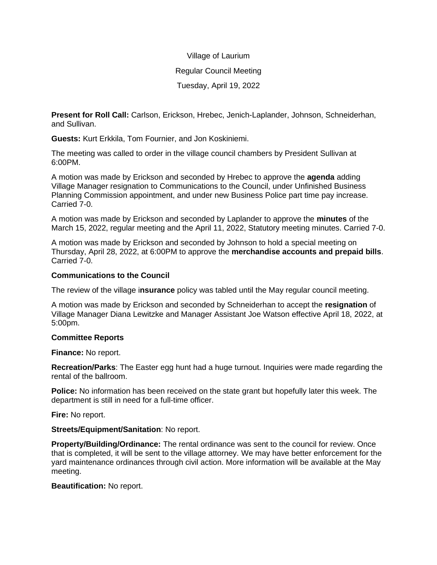# Village of Laurium Regular Council Meeting Tuesday, April 19, 2022

**Present for Roll Call:** Carlson, Erickson, Hrebec, Jenich-Laplander, Johnson, Schneiderhan, and Sullivan.

**Guests:** Kurt Erkkila, Tom Fournier, and Jon Koskiniemi.

The meeting was called to order in the village council chambers by President Sullivan at 6:00PM.

A motion was made by Erickson and seconded by Hrebec to approve the **agenda** adding Village Manager resignation to Communications to the Council, under Unfinished Business Planning Commission appointment, and under new Business Police part time pay increase. Carried 7-0.

A motion was made by Erickson and seconded by Laplander to approve the **minutes** of the March 15, 2022, regular meeting and the April 11, 2022, Statutory meeting minutes. Carried 7-0.

A motion was made by Erickson and seconded by Johnson to hold a special meeting on Thursday, April 28, 2022, at 6:00PM to approve the **merchandise accounts and prepaid bills**. Carried 7-0.

## **Communications to the Council**

The review of the village i**nsurance** policy was tabled until the May regular council meeting.

A motion was made by Erickson and seconded by Schneiderhan to accept the **resignation** of Village Manager Diana Lewitzke and Manager Assistant Joe Watson effective April 18, 2022, at 5:00pm.

## **Committee Reports**

**Finance:** No report.

**Recreation/Parks**: The Easter egg hunt had a huge turnout. Inquiries were made regarding the rental of the ballroom.

**Police:** No information has been received on the state grant but hopefully later this week. The department is still in need for a full-time officer.

**Fire:** No report.

**Streets/Equipment/Sanitation**: No report.

**Property/Building/Ordinance:** The rental ordinance was sent to the council for review. Once that is completed, it will be sent to the village attorney. We may have better enforcement for the yard maintenance ordinances through civil action. More information will be available at the May meeting.

## **Beautification:** No report.